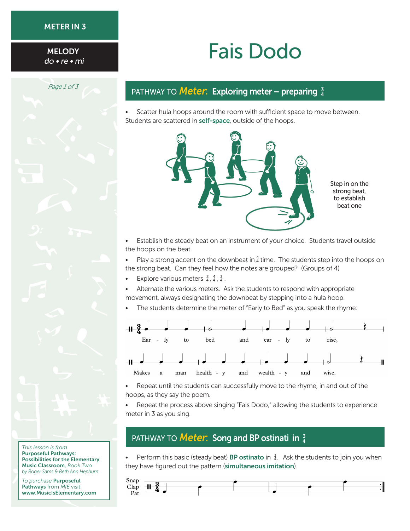#### METER IN 3

**MELODY** 

*Page 1 of 3*

# MELODY **Fais Dodo**

## PATHWAY TO **Meter: Exploring meter – preparing**  $\frac{3}{4}$

• Scatter hula hoops around the room with sufficient space to move between. Students are scattered in self-space, outside of the hoops.



Step in on the strong beat, to establish beat one

Establish the steady beat on an instrument of your choice. Students travel outside the hoops on the beat.

• Play a strong accent on the downbeat in  $_4^4$  time. The students step into the hoops on the strong beat. Can they feel how the notes are grouped? (Groups of 4)

- Explore various meters  $\frac{2}{4}$ ,  $\frac{4}{4}$ ,  $\frac{3}{4}$ .
- Alternate the various meters. Ask the students to respond with appropriate movement, always designating the downbeat by stepping into a hula hoop.
- The students determine the meter of "Early to Bed" as you speak the rhyme:



Repeat until the students can successfully move to the rhyme, in and out of the hoops, as they say the poem.

Repeat the process above singing "Fais Dodo," allowing the students to experience meter in 3 as you sing.

## PATHWAY TO **Meter: Song and BP ostinati in**  $\frac{3}{4}$

• Perform this basic (steady beat) **BP ostinato** in  $\frac{3}{4}$ . Ask the students to join you when they have figured out the pattern (simultaneous imitation).



*This lesson is from* Purposeful Pathways: Possibilities for the Elementary Music Classroom, *Book Two by Roger Sams & Beth Ann Hepburn*

*To purchase* Purposeful Pathways from *MIE* visit: <www.MusicIsElementary.com>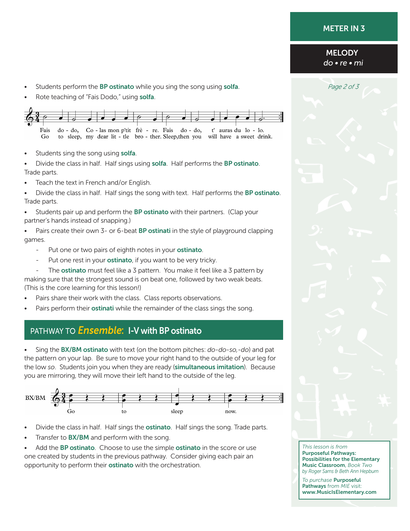#### METER IN 3

#### **MELODY** do • re • mi

- **Franklington Students perform the BP ostinato** while you sing the song using **solfa**. *Page 2 of 3*
- Rote teaching of "Fais Dodo," using solfa.



Students sing the song using solfa.

Divide the class in half. Half sings using solfa. Half performs the BP ostinato. Trade parts.

- Teach the text in French and/or English.
- Divide the class in half. Half sings the song with text. Half performs the BP ostinato. Trade parts.
- Students pair up and perform the BP ostinato with their partners. (Clap your partner's hands instead of snapping.)

Pairs create their own 3- or 6-beat BP ostinati in the style of playground clapping games.

- Put one or two pairs of eighth notes in your **ostinato**.
- Put one rest in your **ostinato**, if you want to be very tricky.

The **ostinato** must feel like a 3 pattern. You make it feel like a 3 pattern by making sure that the strongest sound is on beat one, followed by two weak beats. (This is the core learning for this lesson!)

- Pairs share their work with the class. Class reports observations.
- Pairs perform their ostinati while the remainder of the class sings the song.

# PATHWAY TO **Ensemble: I-V with BP ostinato**

• Sing the BX/BM ostinato with text (on the bottom pitches: *do-do-so,-do*) and pat the pattern on your lap. Be sure to move your right hand to the outside of your leg for the low *so*. Students join you when they are ready (simultaneous imitation). Because you are mirroring, they will move their left hand to the outside of the leg.



- Divide the class in half. Half sings the **ostinato**. Half sings the song. Trade parts.
- Transfer to **BX/BM** and perform with the song.

Add the **BP ostinato**. Choose to use the simple **ostinato** in the score or use one created by students in the previous pathway. Consider giving each pair an opportunity to perform their **ostinato** with the orchestration.

*This lesson is from* Purposeful Pathways: Possibilities for the Elementary Music Classroom, *Book Two by Roger Sams & Beth Ann Hepburn*

*To purchase* Purposeful Pathways from *MIE* visit: <www.MusicIsElementary.com>